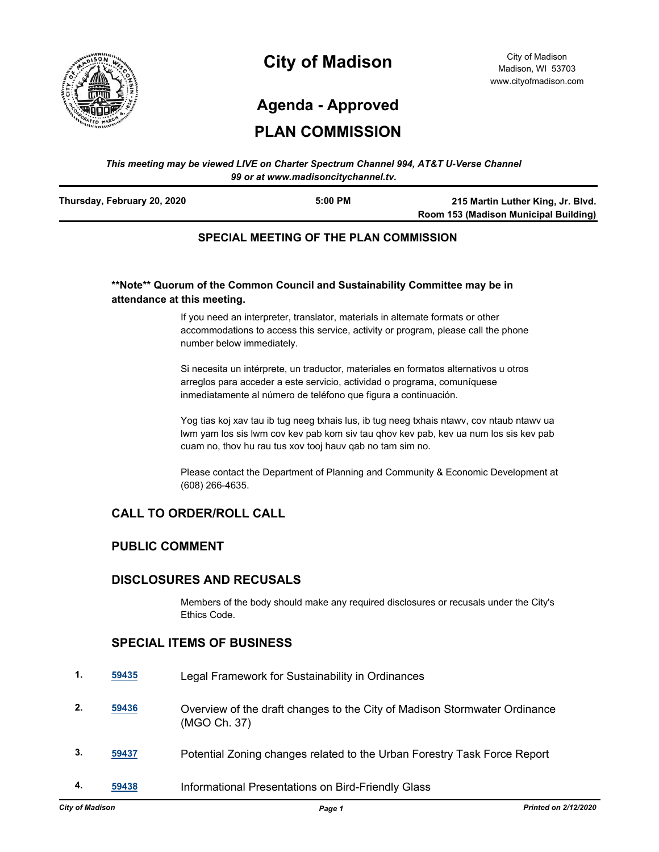

# **City of Madison**

City of Madison Madison, WI 53703 www.cityofmadison.com

## **Agenda - Approved**

### **PLAN COMMISSION**

#### *This meeting may be viewed LIVE on Charter Spectrum Channel 994, AT&T U-Verse Channel 99 or at www.madisoncitychannel.tv.*

| Thursday, February 20, 2020 | $5:00$ PM | 215 Martin Luther King, Jr. Blvd.     |
|-----------------------------|-----------|---------------------------------------|
|                             |           | Room 153 (Madison Municipal Building) |
|                             |           |                                       |

### **SPECIAL MEETING OF THE PLAN COMMISSION**

#### **\*\*Note\*\* Quorum of the Common Council and Sustainability Committee may be in attendance at this meeting.**

If you need an interpreter, translator, materials in alternate formats or other accommodations to access this service, activity or program, please call the phone number below immediately.

Si necesita un intérprete, un traductor, materiales en formatos alternativos u otros arreglos para acceder a este servicio, actividad o programa, comuníquese inmediatamente al número de teléfono que figura a continuación.

Yog tias koj xav tau ib tug neeg txhais lus, ib tug neeg txhais ntawv, cov ntaub ntawv ua lwm yam los sis lwm cov kev pab kom siv tau qhov kev pab, kev ua num los sis kev pab cuam no, thov hu rau tus xov tooj hauv qab no tam sim no.

Please contact the Department of Planning and Community & Economic Development at (608) 266-4635.

#### **CALL TO ORDER/ROLL CALL**

#### **PUBLIC COMMENT**

#### **DISCLOSURES AND RECUSALS**

Members of the body should make any required disclosures or recusals under the City's Ethics Code.

#### **SPECIAL ITEMS OF BUSINESS**

| 1. | 59435 | Legal Framework for Sustainability in Ordinances                                          |
|----|-------|-------------------------------------------------------------------------------------------|
| 2. | 59436 | Overview of the draft changes to the City of Madison Stormwater Ordinance<br>(MGO Ch. 37) |
| 3. | 59437 | Potential Zoning changes related to the Urban Forestry Task Force Report                  |
| 4. | 59438 | Informational Presentations on Bird-Friendly Glass                                        |